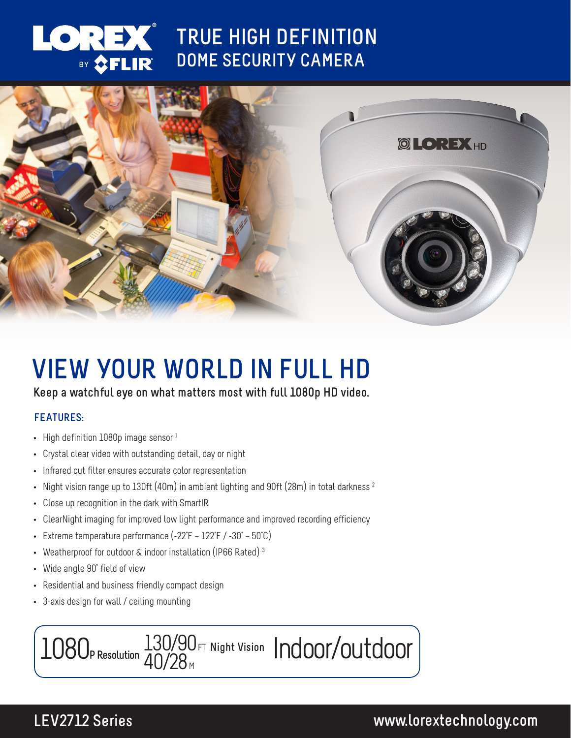

# **TRUE HIGH DEFINITION DOME SECURITY CAMERA**



# **VIEW YOUR WORLD IN FULL HD**

### **Keep a watchful eye on what matters most with full 1080p HD video.**

### **FEATURES:**

- High definition  $1080p$  image sensor  $1$
- Crystal clear video with outstanding detail, day or night
- Infrared cut filter ensures accurate color representation
- Night vision range up to 130ft (40m) in ambient lighting and 90ft (28m) in total darkness  $^2$
- Close up recognition in the dark with SmartIR
- ClearNight imaging for improved low light performance and improved recording efficiency
- Extreme temperature performance  $(-22^{\circ}F 122^{\circ}F / -30^{\circ} 50^{\circ}C)$
- Weatherproof for outdoor & indoor installation (IP66 Rated)<sup>3</sup>
- Wide angle 90° field of view
- Residential and business friendly compact design
- 3-axis design for wall / ceiling mounting



# **LEV2712 Series www.lorextechnology.com**